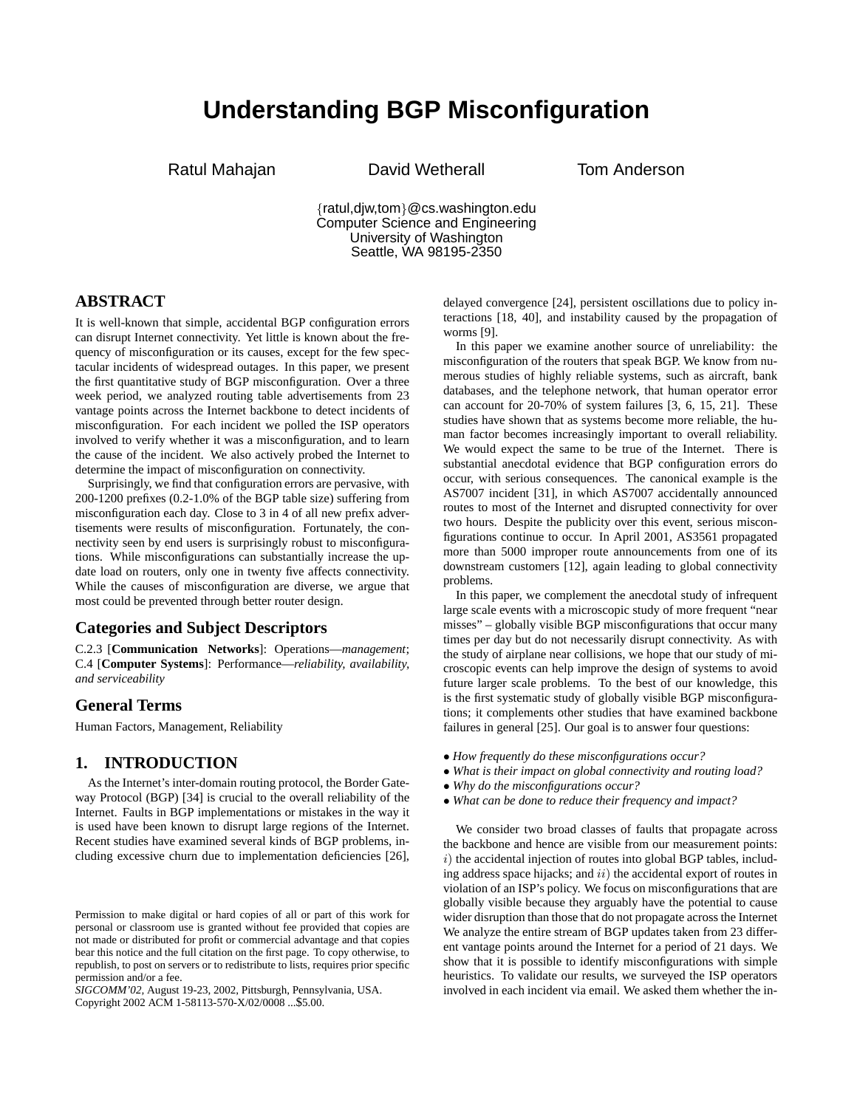# **Understanding BGP Misconfiguration**

Ratul Mahajan David Wetherall Tom Anderson

{ratul,djw,tom}@cs.washington.edu Computer Science and Engineering University of Washington Seattle, WA 98195-2350

# **ABSTRACT**

It is well-known that simple, accidental BGP configuration errors can disrupt Internet connectivity. Yet little is known about the frequency of misconfiguration or its causes, except for the few spectacular incidents of widespread outages. In this paper, we present the first quantitative study of BGP misconfiguration. Over a three week period, we analyzed routing table advertisements from 23 vantage points across the Internet backbone to detect incidents of misconfiguration. For each incident we polled the ISP operators involved to verify whether it was a misconfiguration, and to learn the cause of the incident. We also actively probed the Internet to determine the impact of misconfiguration on connectivity.

Surprisingly, we find that configuration errors are pervasive, with 200-1200 prefixes (0.2-1.0% of the BGP table size) suffering from misconfiguration each day. Close to 3 in 4 of all new prefix advertisements were results of misconfiguration. Fortunately, the connectivity seen by end users is surprisingly robust to misconfigurations. While misconfigurations can substantially increase the update load on routers, only one in twenty five affects connectivity. While the causes of misconfiguration are diverse, we argue that most could be prevented through better router design.

# **Categories and Subject Descriptors**

C.2.3 [**Communication Networks**]: Operations—*management*; C.4 [**Computer Systems**]: Performance—*reliability, availability, and serviceability*

# **General Terms**

Human Factors, Management, Reliability

# **1. INTRODUCTION**

As the Internet's inter-domain routing protocol, the Border Gateway Protocol (BGP) [34] is crucial to the overall reliability of the Internet. Faults in BGP implementations or mistakes in the way it is used have been known to disrupt large regions of the Internet. Recent studies have examined several kinds of BGP problems, including excessive churn due to implementation deficiencies [26],

*SIGCOMM'02,* August 19-23, 2002, Pittsburgh, Pennsylvania, USA. Copyright 2002 ACM 1-58113-570-X/02/0008 ...\$5.00.

delayed convergence [24], persistent oscillations due to policy interactions [18, 40], and instability caused by the propagation of worms [9].

In this paper we examine another source of unreliability: the misconfiguration of the routers that speak BGP. We know from numerous studies of highly reliable systems, such as aircraft, bank databases, and the telephone network, that human operator error can account for 20-70% of system failures [3, 6, 15, 21]. These studies have shown that as systems become more reliable, the human factor becomes increasingly important to overall reliability. We would expect the same to be true of the Internet. There is substantial anecdotal evidence that BGP configuration errors do occur, with serious consequences. The canonical example is the AS7007 incident [31], in which AS7007 accidentally announced routes to most of the Internet and disrupted connectivity for over two hours. Despite the publicity over this event, serious misconfigurations continue to occur. In April 2001, AS3561 propagated more than 5000 improper route announcements from one of its downstream customers [12], again leading to global connectivity problems.

In this paper, we complement the anecdotal study of infrequent large scale events with a microscopic study of more frequent "near misses" – globally visible BGP misconfigurations that occur many times per day but do not necessarily disrupt connectivity. As with the study of airplane near collisions, we hope that our study of microscopic events can help improve the design of systems to avoid future larger scale problems. To the best of our knowledge, this is the first systematic study of globally visible BGP misconfigurations; it complements other studies that have examined backbone failures in general [25]. Our goal is to answer four questions:

- *How frequently do these misconfigurations occur?*
- *What is their impact on global connectivity and routing load?*
- *Why do the misconfigurations occur?*
- *What can be done to reduce their frequency and impact?*

We consider two broad classes of faults that propagate across the backbone and hence are visible from our measurement points:  $i)$  the accidental injection of routes into global BGP tables, including address space hijacks; and  $ii)$  the accidental export of routes in violation of an ISP's policy. We focus on misconfigurations that are globally visible because they arguably have the potential to cause wider disruption than those that do not propagate across the Internet We analyze the entire stream of BGP updates taken from 23 different vantage points around the Internet for a period of 21 days. We show that it is possible to identify misconfigurations with simple heuristics. To validate our results, we surveyed the ISP operators involved in each incident via email. We asked them whether the in-

Permission to make digital or hard copies of all or part of this work for personal or classroom use is granted without fee provided that copies are not made or distributed for profit or commercial advantage and that copies bear this notice and the full citation on the first page. To copy otherwise, to republish, to post on servers or to redistribute to lists, requires prior specific permission and/or a fee.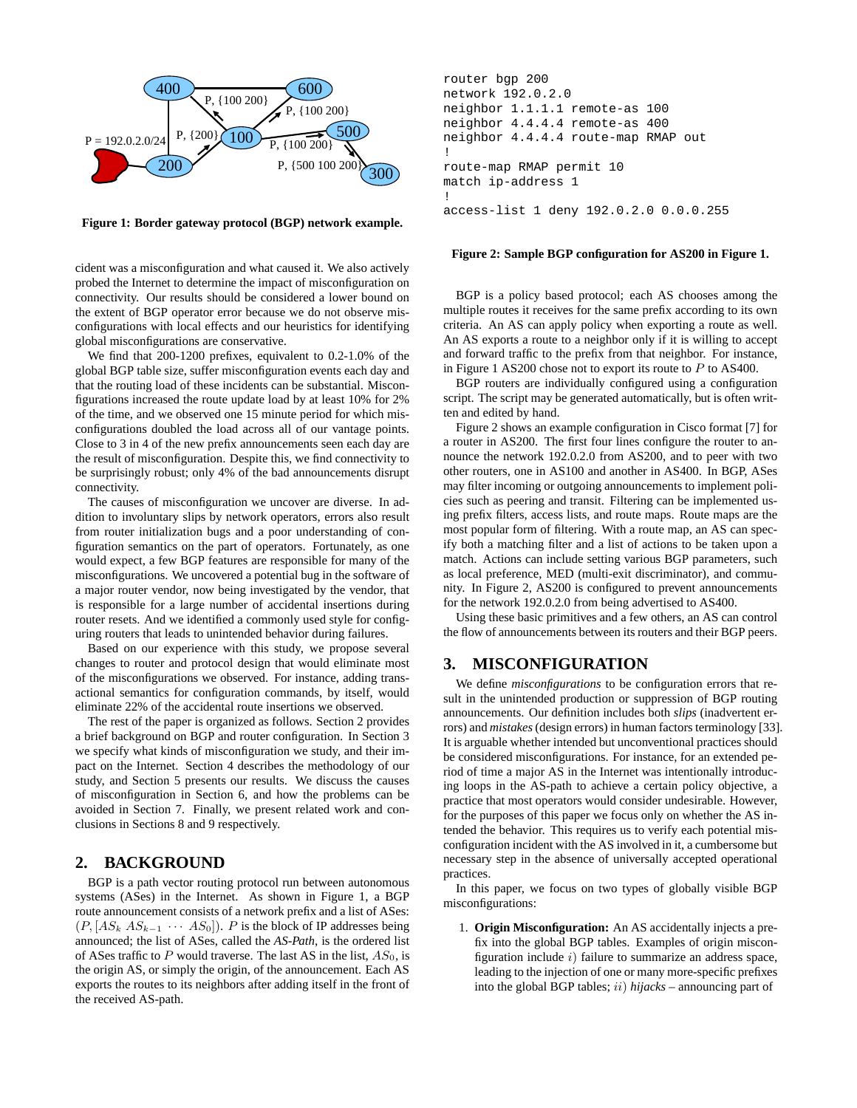

**Figure 1: Border gateway protocol (BGP) network example.**

cident was a misconfiguration and what caused it. We also actively probed the Internet to determine the impact of misconfiguration on connectivity. Our results should be considered a lower bound on the extent of BGP operator error because we do not observe misconfigurations with local effects and our heuristics for identifying global misconfigurations are conservative.

We find that 200-1200 prefixes, equivalent to 0.2-1.0% of the global BGP table size, suffer misconfiguration events each day and that the routing load of these incidents can be substantial. Misconfigurations increased the route update load by at least 10% for 2% of the time, and we observed one 15 minute period for which misconfigurations doubled the load across all of our vantage points. Close to 3 in 4 of the new prefix announcements seen each day are the result of misconfiguration. Despite this, we find connectivity to be surprisingly robust; only 4% of the bad announcements disrupt connectivity.

The causes of misconfiguration we uncover are diverse. In addition to involuntary slips by network operators, errors also result from router initialization bugs and a poor understanding of configuration semantics on the part of operators. Fortunately, as one would expect, a few BGP features are responsible for many of the misconfigurations. We uncovered a potential bug in the software of a major router vendor, now being investigated by the vendor, that is responsible for a large number of accidental insertions during router resets. And we identified a commonly used style for configuring routers that leads to unintended behavior during failures.

Based on our experience with this study, we propose several changes to router and protocol design that would eliminate most of the misconfigurations we observed. For instance, adding transactional semantics for configuration commands, by itself, would eliminate 22% of the accidental route insertions we observed.

The rest of the paper is organized as follows. Section 2 provides a brief background on BGP and router configuration. In Section 3 we specify what kinds of misconfiguration we study, and their impact on the Internet. Section 4 describes the methodology of our study, and Section 5 presents our results. We discuss the causes of misconfiguration in Section 6, and how the problems can be avoided in Section 7. Finally, we present related work and conclusions in Sections 8 and 9 respectively.

# **2. BACKGROUND**

BGP is a path vector routing protocol run between autonomous systems (ASes) in the Internet. As shown in Figure 1, a BGP route announcement consists of a network prefix and a list of ASes:  $(P, [AS_k AS_{k-1} \cdots AS_0])$ . P is the block of IP addresses being announced; the list of ASes, called the *AS-Path*, is the ordered list of ASes traffic to P would traverse. The last AS in the list,  $AS_0$ , is the origin AS, or simply the origin, of the announcement. Each AS exports the routes to its neighbors after adding itself in the front of the received AS-path.

```
router bgp 200
network 192.0.2.0
neighbor 1.1.1.1 remote-as 100
neighbor 4.4.4.4 remote-as 400
neighbor 4.4.4.4 route-map RMAP out
!
route-map RMAP permit 10
match ip-address 1
!
access-list 1 deny 192.0.2.0 0.0.0.255
```
#### **Figure 2: Sample BGP configuration for AS200 in Figure 1.**

BGP is a policy based protocol; each AS chooses among the multiple routes it receives for the same prefix according to its own criteria. An AS can apply policy when exporting a route as well. An AS exports a route to a neighbor only if it is willing to accept and forward traffic to the prefix from that neighbor. For instance, in Figure 1 AS200 chose not to export its route to P to AS400.

BGP routers are individually configured using a configuration script. The script may be generated automatically, but is often written and edited by hand.

Figure 2 shows an example configuration in Cisco format [7] for a router in AS200. The first four lines configure the router to announce the network 192.0.2.0 from AS200, and to peer with two other routers, one in AS100 and another in AS400. In BGP, ASes may filter incoming or outgoing announcements to implement policies such as peering and transit. Filtering can be implemented using prefix filters, access lists, and route maps. Route maps are the most popular form of filtering. With a route map, an AS can specify both a matching filter and a list of actions to be taken upon a match. Actions can include setting various BGP parameters, such as local preference, MED (multi-exit discriminator), and community. In Figure 2, AS200 is configured to prevent announcements for the network 192.0.2.0 from being advertised to AS400.

Using these basic primitives and a few others, an AS can control the flow of announcements between its routers and their BGP peers.

## **3. MISCONFIGURATION**

We define *misconfigurations* to be configuration errors that result in the unintended production or suppression of BGP routing announcements. Our definition includes both *slips* (inadvertent errors) and *mistakes* (design errors) in human factors terminology [33]. It is arguable whether intended but unconventional practices should be considered misconfigurations. For instance, for an extended period of time a major AS in the Internet was intentionally introducing loops in the AS-path to achieve a certain policy objective, a practice that most operators would consider undesirable. However, for the purposes of this paper we focus only on whether the AS intended the behavior. This requires us to verify each potential misconfiguration incident with the AS involved in it, a cumbersome but necessary step in the absence of universally accepted operational practices.

In this paper, we focus on two types of globally visible BGP misconfigurations:

1. **Origin Misconfiguration:** An AS accidentally injects a prefix into the global BGP tables. Examples of origin misconfiguration include  $i$ ) failure to summarize an address space, leading to the injection of one or many more-specific prefixes into the global BGP tables; ii) *hijacks* – announcing part of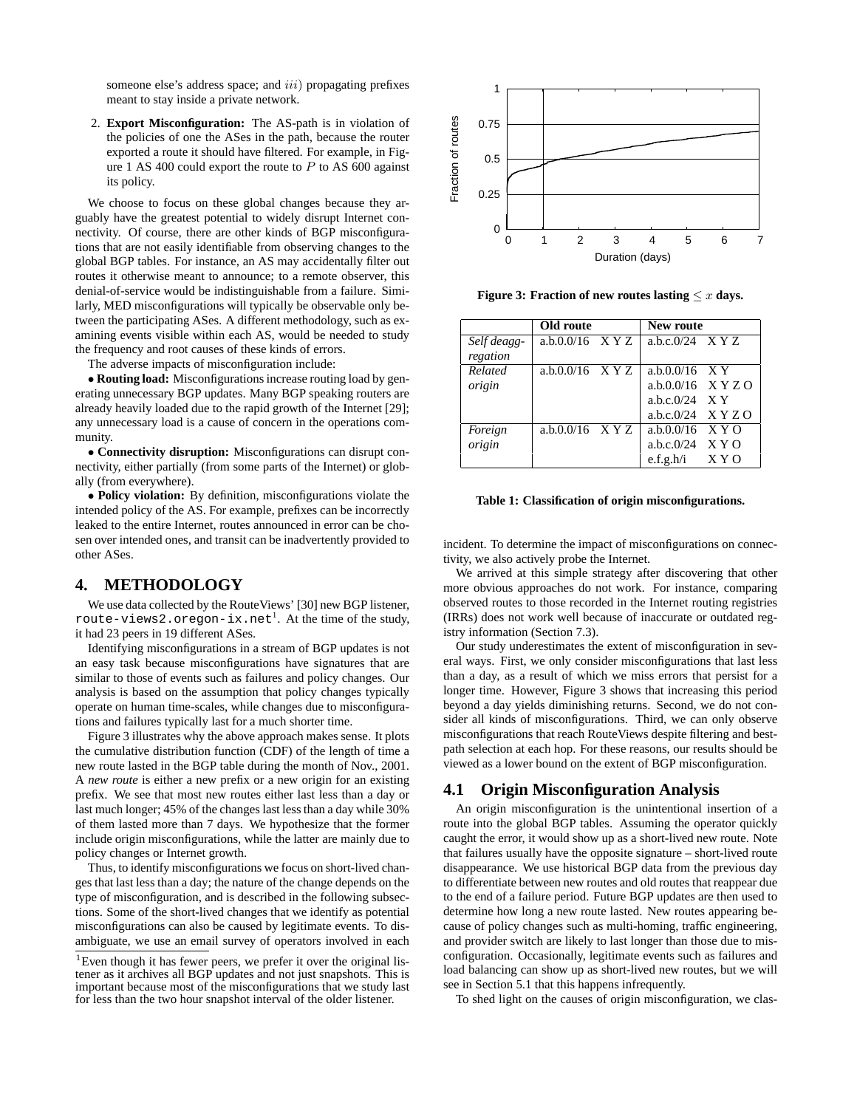someone else's address space; and iii) propagating prefixes meant to stay inside a private network.

2. **Export Misconfiguration:** The AS-path is in violation of the policies of one the ASes in the path, because the router exported a route it should have filtered. For example, in Figure 1 AS 400 could export the route to  $P$  to AS 600 against its policy.

We choose to focus on these global changes because they arguably have the greatest potential to widely disrupt Internet connectivity. Of course, there are other kinds of BGP misconfigurations that are not easily identifiable from observing changes to the global BGP tables. For instance, an AS may accidentally filter out routes it otherwise meant to announce; to a remote observer, this denial-of-service would be indistinguishable from a failure. Similarly, MED misconfigurations will typically be observable only between the participating ASes. A different methodology, such as examining events visible within each AS, would be needed to study the frequency and root causes of these kinds of errors.

The adverse impacts of misconfiguration include:

• **Routing load:** Misconfigurationsincrease routing load by generating unnecessary BGP updates. Many BGP speaking routers are already heavily loaded due to the rapid growth of the Internet [29]; any unnecessary load is a cause of concern in the operations community.

• **Connectivity disruption:** Misconfigurations can disrupt connectivity, either partially (from some parts of the Internet) or globally (from everywhere).

• **Policy violation:** By definition, misconfigurations violate the intended policy of the AS. For example, prefixes can be incorrectly leaked to the entire Internet, routes announced in error can be chosen over intended ones, and transit can be inadvertently provided to other ASes.

# **4. METHODOLOGY**

We use data collected by the RouteViews' [30] new BGP listener, route-views2.oregon-ix.net<sup>1</sup>. At the time of the study, it had 23 peers in 19 different ASes.

Identifying misconfigurations in a stream of BGP updates is not an easy task because misconfigurations have signatures that are similar to those of events such as failures and policy changes. Our analysis is based on the assumption that policy changes typically operate on human time-scales, while changes due to misconfigurations and failures typically last for a much shorter time.

Figure 3 illustrates why the above approach makes sense. It plots the cumulative distribution function (CDF) of the length of time a new route lasted in the BGP table during the month of Nov., 2001. A *new route* is either a new prefix or a new origin for an existing prefix. We see that most new routes either last less than a day or last much longer; 45% of the changes last less than a day while 30% of them lasted more than 7 days. We hypothesize that the former include origin misconfigurations, while the latter are mainly due to policy changes or Internet growth.

Thus, to identify misconfigurations we focus on short-lived changes that last less than a day; the nature of the change depends on the type of misconfiguration, and is described in the following subsections. Some of the short-lived changes that we identify as potential misconfigurations can also be caused by legitimate events. To disambiguate, we use an email survey of operators involved in each



**Figure** 3: **Fraction** of new routes lasting  $\leq x$  days.

|             | Old route          | New route                     |  |
|-------------|--------------------|-------------------------------|--|
| Self deagg- | $a.b.0.0/16$ XYZ   | a.b.c. $0/24$ $X Y Z$         |  |
| regation    |                    |                               |  |
| Related     | a.b.0.0/16 $X Y Z$ | $a.b.0.0/16$ XY               |  |
| origin      |                    | $a.b.0.0/16$ $X Y Z O$        |  |
|             |                    | a.b.c. $0/24$ X Y             |  |
|             |                    | a.b.c. $0/24$ $X$ $Y$ $Z$ $O$ |  |
| Foreign     | a.b.0.0/16 $X Y Z$ | a.b.0.0/16 $X Y O$            |  |
| origin      |                    | a.b.c. $0/24$ X Y O           |  |
|             |                    | e.f.g.h/i $X Y O$             |  |

#### **Table 1: Classification of origin misconfigurations.**

incident. To determine the impact of misconfigurations on connectivity, we also actively probe the Internet.

We arrived at this simple strategy after discovering that other more obvious approaches do not work. For instance, comparing observed routes to those recorded in the Internet routing registries (IRRs) does not work well because of inaccurate or outdated registry information (Section 7.3).

Our study underestimates the extent of misconfiguration in several ways. First, we only consider misconfigurations that last less than a day, as a result of which we miss errors that persist for a longer time. However, Figure 3 shows that increasing this period beyond a day yields diminishing returns. Second, we do not consider all kinds of misconfigurations. Third, we can only observe misconfigurations that reach RouteViews despite filtering and bestpath selection at each hop. For these reasons, our results should be viewed as a lower bound on the extent of BGP misconfiguration.

#### **4.1 Origin Misconfiguration Analysis**

An origin misconfiguration is the unintentional insertion of a route into the global BGP tables. Assuming the operator quickly caught the error, it would show up as a short-lived new route. Note that failures usually have the opposite signature – short-lived route disappearance. We use historical BGP data from the previous day to differentiate between new routes and old routes that reappear due to the end of a failure period. Future BGP updates are then used to determine how long a new route lasted. New routes appearing because of policy changes such as multi-homing, traffic engineering, and provider switch are likely to last longer than those due to misconfiguration. Occasionally, legitimate events such as failures and load balancing can show up as short-lived new routes, but we will see in Section 5.1 that this happens infrequently.

To shed light on the causes of origin misconfiguration, we clas-

<sup>&</sup>lt;sup>1</sup>Even though it has fewer peers, we prefer it over the original listener as it archives all BGP updates and not just snapshots. This is important because most of the misconfigurations that we study last for less than the two hour snapshot interval of the older listener.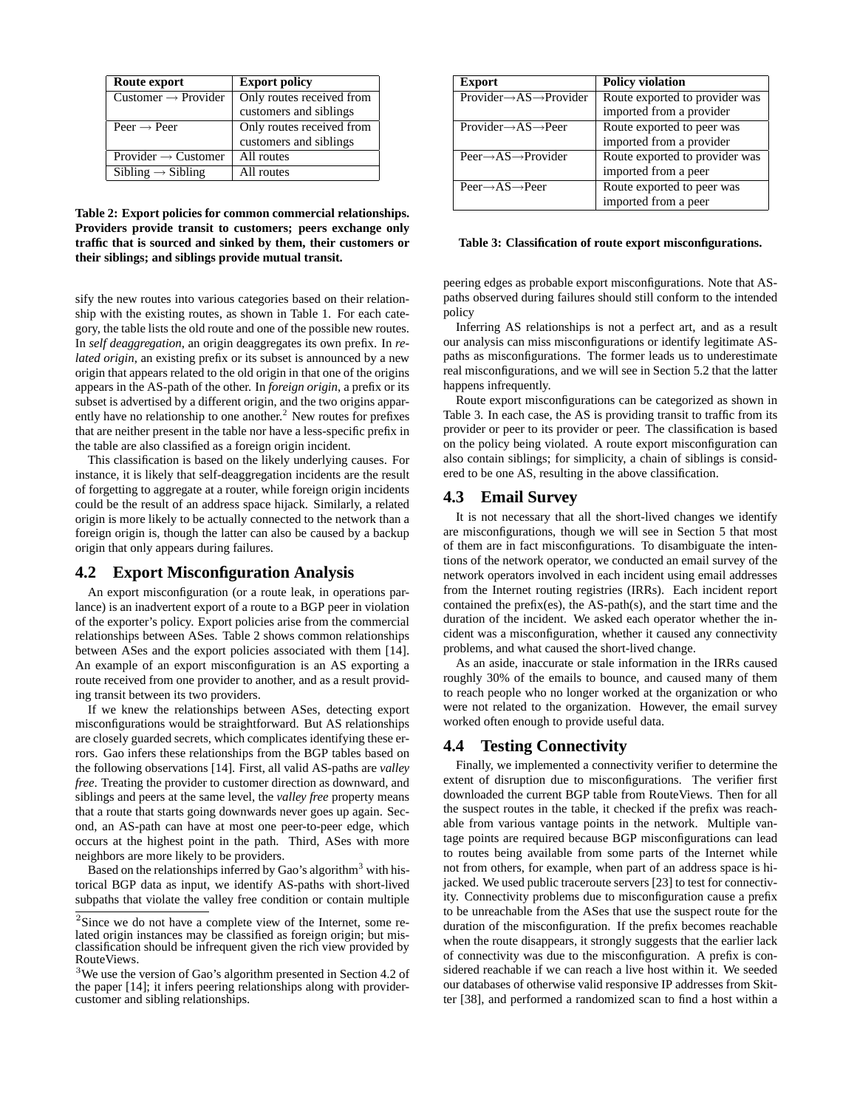| Route export                    | <b>Export policy</b>      |
|---------------------------------|---------------------------|
| Customer $\rightarrow$ Provider | Only routes received from |
|                                 | customers and siblings    |
| Peer $\rightarrow$ Peer         | Only routes received from |
|                                 | customers and siblings    |
| Provider $\rightarrow$ Customer | All routes                |
| $Sibling \rightarrow Sibling$   | All routes                |

**Table 2: Export policies for common commercial relationships. Providers provide transit to customers; peers exchange only traffic that is sourced and sinked by them, their customers or their siblings; and siblings provide mutual transit.**

sify the new routes into various categories based on their relationship with the existing routes, as shown in Table 1. For each category, the table lists the old route and one of the possible new routes. In *self deaggregation*, an origin deaggregates its own prefix. In *related origin*, an existing prefix or its subset is announced by a new origin that appears related to the old origin in that one of the origins appears in the AS-path of the other. In *foreign origin*, a prefix or its subset is advertised by a different origin, and the two origins apparently have no relationship to one another.<sup>2</sup> New routes for prefixes that are neither present in the table nor have a less-specific prefix in the table are also classified as a foreign origin incident.

This classification is based on the likely underlying causes. For instance, it is likely that self-deaggregation incidents are the result of forgetting to aggregate at a router, while foreign origin incidents could be the result of an address space hijack. Similarly, a related origin is more likely to be actually connected to the network than a foreign origin is, though the latter can also be caused by a backup origin that only appears during failures.

## **4.2 Export Misconfiguration Analysis**

An export misconfiguration (or a route leak, in operations parlance) is an inadvertent export of a route to a BGP peer in violation of the exporter's policy. Export policies arise from the commercial relationships between ASes. Table 2 shows common relationships between ASes and the export policies associated with them [14]. An example of an export misconfiguration is an AS exporting a route received from one provider to another, and as a result providing transit between its two providers.

If we knew the relationships between ASes, detecting export misconfigurations would be straightforward. But AS relationships are closely guarded secrets, which complicates identifying these errors. Gao infers these relationships from the BGP tables based on the following observations [14]. First, all valid AS-paths are *valley free*. Treating the provider to customer direction as downward, and siblings and peers at the same level, the *valley free* property means that a route that starts going downwards never goes up again. Second, an AS-path can have at most one peer-to-peer edge, which occurs at the highest point in the path. Third, ASes with more neighbors are more likely to be providers.

Based on the relationships inferred by Gao's algorithm<sup>3</sup> with historical BGP data as input, we identify AS-paths with short-lived subpaths that violate the valley free condition or contain multiple

| <b>Export</b>                                  | <b>Policy violation</b>        |
|------------------------------------------------|--------------------------------|
| $Provider \rightarrow AS \rightarrow Provider$ | Route exported to provider was |
|                                                | imported from a provider       |
| $Provider \rightarrow AS \rightarrow Peer$     | Route exported to peer was     |
|                                                | imported from a provider       |
| $Peer \rightarrow AS \rightarrow Provider$     | Route exported to provider was |
|                                                | imported from a peer           |
| $Pear \rightarrow AS \rightarrow Peer$         | Route exported to peer was     |
|                                                | imported from a peer           |

#### **Table 3: Classification of route export misconfigurations.**

peering edges as probable export misconfigurations. Note that ASpaths observed during failures should still conform to the intended policy

Inferring AS relationships is not a perfect art, and as a result our analysis can miss misconfigurations or identify legitimate ASpaths as misconfigurations. The former leads us to underestimate real misconfigurations, and we will see in Section 5.2 that the latter happens infrequently.

Route export misconfigurations can be categorized as shown in Table 3. In each case, the AS is providing transit to traffic from its provider or peer to its provider or peer. The classification is based on the policy being violated. A route export misconfiguration can also contain siblings; for simplicity, a chain of siblings is considered to be one AS, resulting in the above classification.

## **4.3 Email Survey**

It is not necessary that all the short-lived changes we identify are misconfigurations, though we will see in Section 5 that most of them are in fact misconfigurations. To disambiguate the intentions of the network operator, we conducted an email survey of the network operators involved in each incident using email addresses from the Internet routing registries (IRRs). Each incident report contained the prefix(es), the AS-path(s), and the start time and the duration of the incident. We asked each operator whether the incident was a misconfiguration, whether it caused any connectivity problems, and what caused the short-lived change.

As an aside, inaccurate or stale information in the IRRs caused roughly 30% of the emails to bounce, and caused many of them to reach people who no longer worked at the organization or who were not related to the organization. However, the email survey worked often enough to provide useful data.

# **4.4 Testing Connectivity**

Finally, we implemented a connectivity verifier to determine the extent of disruption due to misconfigurations. The verifier first downloaded the current BGP table from RouteViews. Then for all the suspect routes in the table, it checked if the prefix was reachable from various vantage points in the network. Multiple vantage points are required because BGP misconfigurations can lead to routes being available from some parts of the Internet while not from others, for example, when part of an address space is hijacked. We used public traceroute servers [23] to test for connectivity. Connectivity problems due to misconfiguration cause a prefix to be unreachable from the ASes that use the suspect route for the duration of the misconfiguration. If the prefix becomes reachable when the route disappears, it strongly suggests that the earlier lack of connectivity was due to the misconfiguration. A prefix is considered reachable if we can reach a live host within it. We seeded our databases of otherwise valid responsive IP addresses from Skitter [38], and performed a randomized scan to find a host within a

 $2$ Since we do not have a complete view of the Internet, some related origin instances may be classified as foreign origin; but misclassification should be infrequent given the rich view provided by RouteViews.

<sup>3</sup>We use the version of Gao's algorithm presented in Section 4.2 of the paper [14]; it infers peering relationships along with providercustomer and sibling relationships.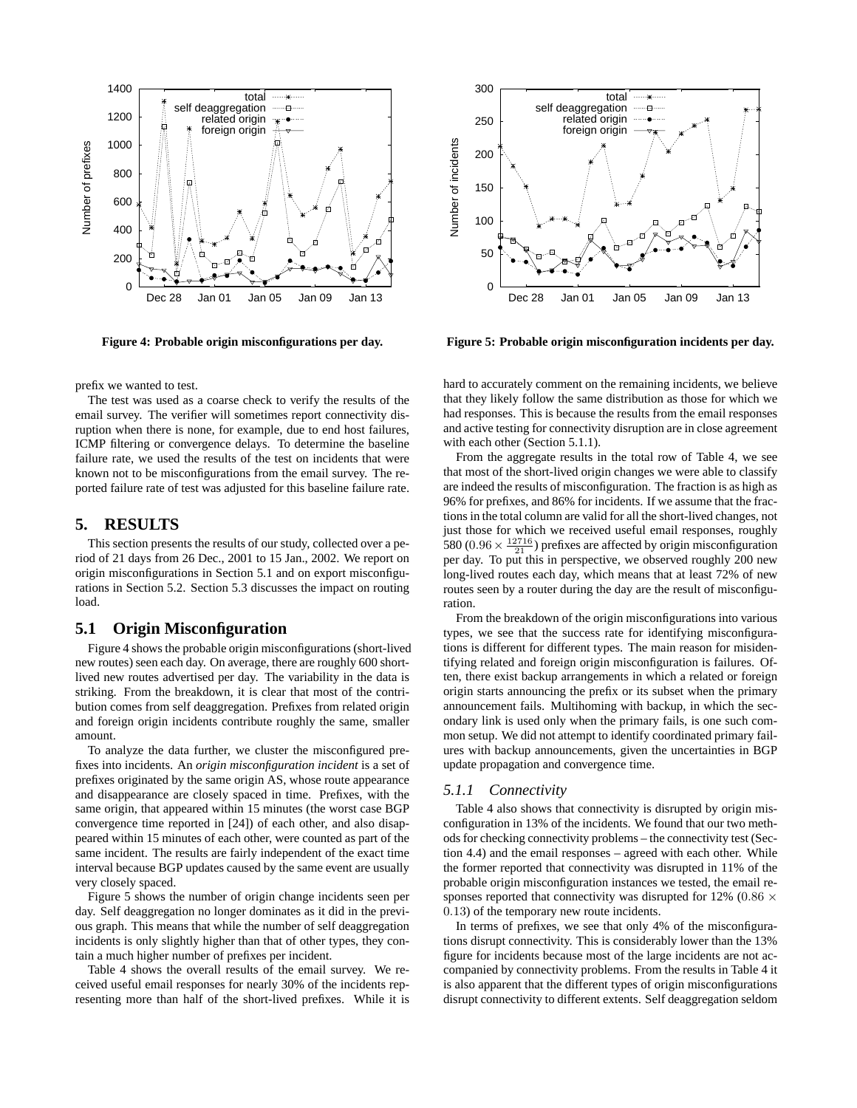

**Figure 4: Probable origin misconfigurations per day.**

prefix we wanted to test.

The test was used as a coarse check to verify the results of the email survey. The verifier will sometimes report connectivity disruption when there is none, for example, due to end host failures, ICMP filtering or convergence delays. To determine the baseline failure rate, we used the results of the test on incidents that were known not to be misconfigurations from the email survey. The reported failure rate of test was adjusted for this baseline failure rate.

# **5. RESULTS**

This section presents the results of our study, collected over a period of 21 days from 26 Dec., 2001 to 15 Jan., 2002. We report on origin misconfigurations in Section 5.1 and on export misconfigurations in Section 5.2. Section 5.3 discusses the impact on routing load.

## **5.1 Origin Misconfiguration**

Figure 4 shows the probable origin misconfigurations (short-lived new routes) seen each day. On average, there are roughly 600 shortlived new routes advertised per day. The variability in the data is striking. From the breakdown, it is clear that most of the contribution comes from self deaggregation. Prefixes from related origin and foreign origin incidents contribute roughly the same, smaller amount.

To analyze the data further, we cluster the misconfigured prefixes into incidents. An *origin misconfiguration incident* is a set of prefixes originated by the same origin AS, whose route appearance and disappearance are closely spaced in time. Prefixes, with the same origin, that appeared within 15 minutes (the worst case BGP convergence time reported in [24]) of each other, and also disappeared within 15 minutes of each other, were counted as part of the same incident. The results are fairly independent of the exact time interval because BGP updates caused by the same event are usually very closely spaced.

Figure 5 shows the number of origin change incidents seen per day. Self deaggregation no longer dominates as it did in the previous graph. This means that while the number of self deaggregation incidents is only slightly higher than that of other types, they contain a much higher number of prefixes per incident.

Table 4 shows the overall results of the email survey. We received useful email responses for nearly 30% of the incidents representing more than half of the short-lived prefixes. While it is



**Figure 5: Probable origin misconfiguration incidents per day.**

hard to accurately comment on the remaining incidents, we believe that they likely follow the same distribution as those for which we had responses. This is because the results from the email responses and active testing for connectivity disruption are in close agreement with each other (Section 5.1.1).

From the aggregate results in the total row of Table 4, we see that most of the short-lived origin changes we were able to classify are indeed the results of misconfiguration. The fraction is as high as 96% for prefixes, and 86% for incidents. If we assume that the fractions in the total column are valid for all the short-lived changes, not just those for which we received useful email responses, roughly 580 (0.96  $\times$   $\frac{12716}{21}$ ) prefixes are affected by origin misconfiguration per day. To put this in perspective, we observed roughly 200 new long-lived routes each day, which means that at least 72% of new routes seen by a router during the day are the result of misconfiguration.

From the breakdown of the origin misconfigurations into various types, we see that the success rate for identifying misconfigurations is different for different types. The main reason for misidentifying related and foreign origin misconfiguration is failures. Often, there exist backup arrangements in which a related or foreign origin starts announcing the prefix or its subset when the primary announcement fails. Multihoming with backup, in which the secondary link is used only when the primary fails, is one such common setup. We did not attempt to identify coordinated primary failures with backup announcements, given the uncertainties in BGP update propagation and convergence time.

#### *5.1.1 Connectivity*

Table 4 also shows that connectivity is disrupted by origin misconfiguration in 13% of the incidents. We found that our two methods for checking connectivity problems – the connectivity test (Section 4.4) and the email responses – agreed with each other. While the former reported that connectivity was disrupted in 11% of the probable origin misconfiguration instances we tested, the email responses reported that connectivity was disrupted for 12% (0.86  $\times$ 0.13) of the temporary new route incidents.

In terms of prefixes, we see that only 4% of the misconfigurations disrupt connectivity. This is considerably lower than the 13% figure for incidents because most of the large incidents are not accompanied by connectivity problems. From the results in Table 4 it is also apparent that the different types of origin misconfigurations disrupt connectivity to different extents. Self deaggregation seldom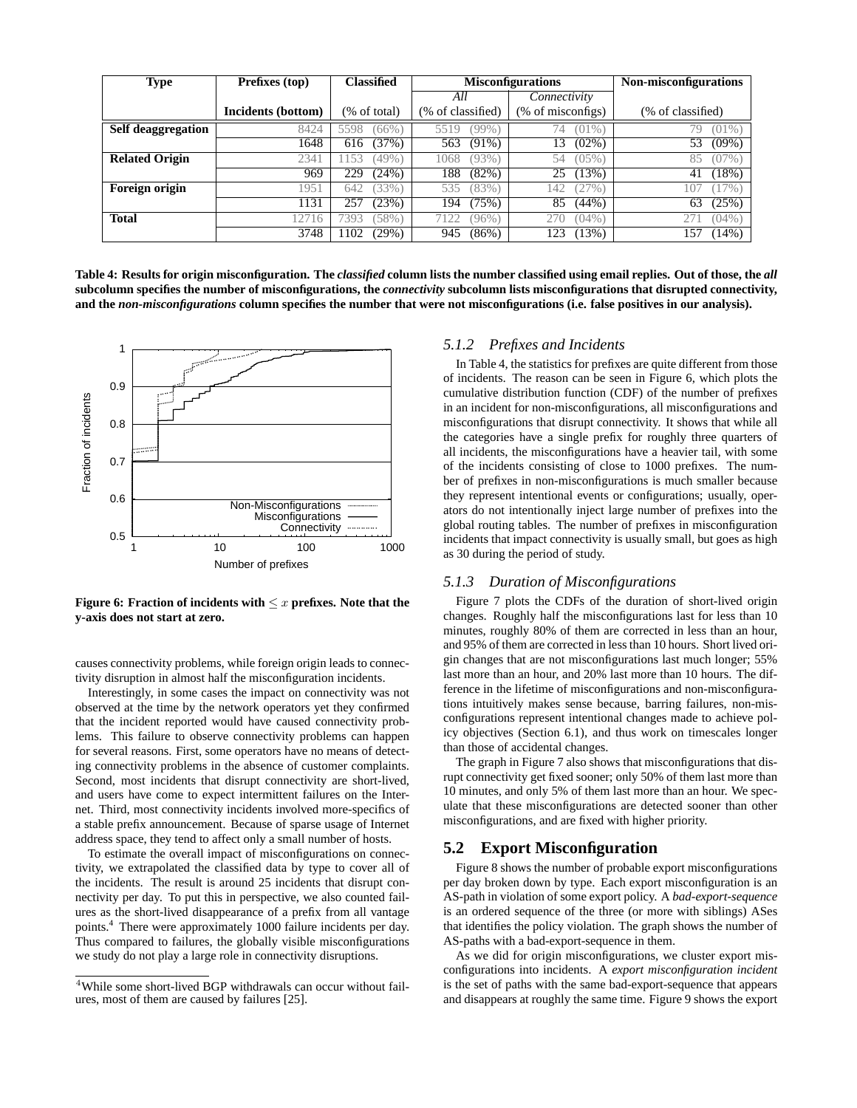| <b>Type</b>           | $\overline{\text{Prefixes (top)}}$ | Classified       | <b>Misconfigurations</b> |                   | Non-misconfigurations |
|-----------------------|------------------------------------|------------------|--------------------------|-------------------|-----------------------|
|                       |                                    |                  | All                      | Connectivity      |                       |
|                       | Incidents (bottom)                 | (% of total)     | (% of classified)        | (% of misconfigs) | (% of classified)     |
| Self deaggregation    | 8424                               | 5598<br>$(66\%)$ | 5519<br>(99%`            | 74<br>$(01\%)$    | 79<br>$(01\%)$        |
|                       | 1648                               | (37%)<br>616     | 563<br>$(91\%)$          | $(02\%)$<br>13    | $(09\%)$<br>53        |
| <b>Related Origin</b> | 2341                               | $(49\%)$<br>15   | $(93\%)$<br>1068         | $(05\%)$<br>54    | $(07\%)$<br>85        |
|                       | 969                                | 229<br>(24%)     | (82%)<br>188             | (13%)<br>25       | (18%)<br>41           |
| Foreign origin        | 1951                               | $33\%$<br>64.    | $(83\%)$<br>535          | (27%<br>42        | 7%<br>1 ()′           |
|                       | 1131                               | 257<br>(23%)     | (75%)<br>194             | 85<br>(44%)       | (25%)<br>63           |
| <b>Total</b>          | 2716                               | 7393<br>$(58\%)$ | 7122<br>$(96\%)$         | 270<br>$(04\%)$   | 27<br>$(04\%)$        |
|                       | 3748                               | 1102<br>(29%)    | (86%)<br>945             | (13%)<br>123      | 157<br>$14\%$         |

Table 4: Results for origin misconfiguration. The classified column lists the number classified using email replies. Out of those, the all subcolumn specifies the number of misconfigurations, the *connectivity* subcolumn lists misconfigurations that disrupted connectivity, and the non-misconfigurations column specifies the number that were not misconfigurations (i.e. false positives in our analysis).



**Figure** 6: **Fraction** of **incidents** with  $\leq x$  **prefixes.** Note that the **y-axis does not start at zero.**

causes connectivity problems, while foreign origin leads to connectivity disruption in almost half the misconfiguration incidents.

Interestingly, in some cases the impact on connectivity was not observed at the time by the network operators yet they confirmed that the incident reported would have caused connectivity problems. This failure to observe connectivity problems can happen for several reasons. First, some operators have no means of detecting connectivity problems in the absence of customer complaints. Second, most incidents that disrupt connectivity are short-lived, and users have come to expect intermittent failures on the Internet. Third, most connectivity incidents involved more-specifics of a stable prefix announcement. Because of sparse usage of Internet address space, they tend to affect only a small number of hosts.

To estimate the overall impact of misconfigurations on connectivity, we extrapolated the classified data by type to cover all of the incidents. The result is around 25 incidents that disrupt connectivity per day. To put this in perspective, we also counted failures as the short-lived disappearance of a prefix from all vantage points.<sup>4</sup> There were approximately 1000 failure incidents per day. Thus compared to failures, the globally visible misconfigurations we study do not play a large role in connectivity disruptions.

## *5.1.2 Prefixes and Incidents*

In Table 4, the statistics for prefixes are quite different from those of incidents. The reason can be seen in Figure 6, which plots the cumulative distribution function (CDF) of the number of prefixes in an incident for non-misconfigurations, all misconfigurations and misconfigurations that disrupt connectivity. It shows that while all the categories have a single prefix for roughly three quarters of all incidents, the misconfigurations have a heavier tail, with some of the incidents consisting of close to 1000 prefixes. The number of prefixes in non-misconfigurations is much smaller because they represent intentional events or configurations; usually, operators do not intentionally inject large number of prefixes into the global routing tables. The number of prefixes in misconfiguration incidents that impact connectivity is usually small, but goes as high as 30 during the period of study.

#### *5.1.3 Duration of Misconfigurations*

Figure 7 plots the CDFs of the duration of short-lived origin changes. Roughly half the misconfigurations last for less than 10 minutes, roughly 80% of them are corrected in less than an hour, and 95% of them are corrected in lessthan 10 hours. Short lived origin changes that are not misconfigurations last much longer; 55% last more than an hour, and 20% last more than 10 hours. The difference in the lifetime of misconfigurations and non-misconfigurations intuitively makes sense because, barring failures, non-misconfigurations represent intentional changes made to achieve policy objectives (Section 6.1), and thus work on timescales longer than those of accidental changes.

The graph in Figure 7 also shows that misconfigurations that disrupt connectivity get fixed sooner; only 50% of them last more than 10 minutes, and only 5% of them last more than an hour. We speculate that these misconfigurations are detected sooner than other misconfigurations, and are fixed with higher priority.

#### **5.2 Export Misconfiguration**

Figure 8 shows the number of probable export misconfigurations per day broken down by type. Each export misconfiguration is an AS-path in violation of some export policy. A *bad-export-sequence* is an ordered sequence of the three (or more with siblings) ASes that identifies the policy violation. The graph shows the number of AS-paths with a bad-export-sequence in them.

As we did for origin misconfigurations, we cluster export misconfigurations into incidents. A *export misconfiguration incident* is the set of paths with the same bad-export-sequence that appears and disappears at roughly the same time. Figure 9 shows the export

<sup>4</sup>While some short-lived BGP withdrawals can occur without failures, most of them are caused by failures [25].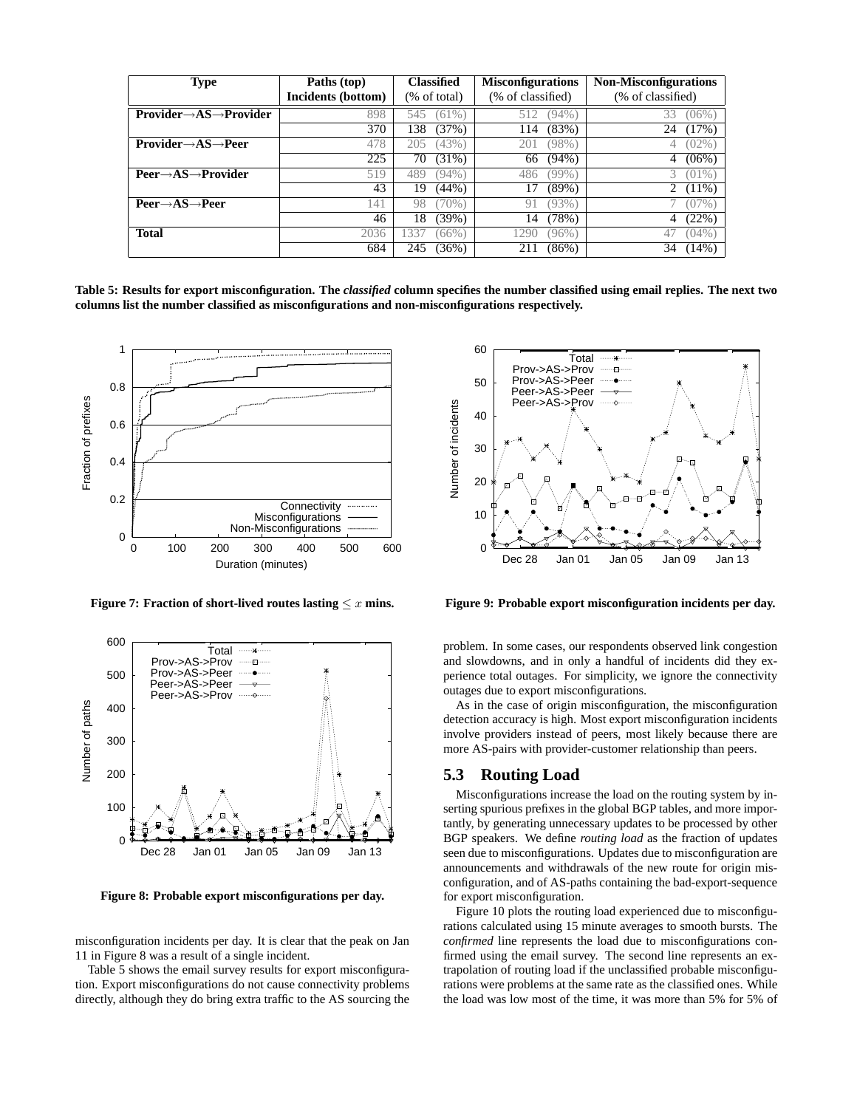| Type                                           | Paths (top)        | <b>Classified</b> | <b>Misconfigurations</b> | <b>Non-Misconfigurations</b> |
|------------------------------------------------|--------------------|-------------------|--------------------------|------------------------------|
|                                                | Incidents (bottom) | $%$ of total)     | (% of classified)        | (% of classified)            |
| $Provider \rightarrow AS \rightarrow Provider$ | 898                | 545<br>$(61\%)$   | 512<br>$(94\%)$          | 33<br>$(06\%)$               |
|                                                | 370                | (37%)<br>138      | (83%)<br>114             | (17%)<br>24                  |
| Provider $\rightarrow$ AS $\rightarrow$ Peer   | 478                | (43%)<br>205      | $(98\%)$<br>201          | $(02\%)$<br>4                |
|                                                | 225                | $(31\%)$<br>70    | $(94\%)$<br>66           | $(06\%)$<br>4                |
| $Peer \rightarrow AS \rightarrow Provider$     | 519                | 489<br>$(94\%)$   | $(99\%)$<br>486          | 3.<br>$(01\%)$               |
|                                                | 43                 | $(44\%)$<br>19    | $(89\%)$<br>17           | $(11\%)$<br>2                |
| $Peer \rightarrow AS \rightarrow Peer$         | 141                | $(70\%)$<br>98    | (93%)<br>91              | $(07\%)$                     |
|                                                | 46                 | (39%)<br>18       | (78%)<br>14              | (22%)<br>4                   |
| <b>Total</b>                                   | 2036               | 1337<br>$(66\%)$  | 1290<br>$(96\%)$         | 47<br>$(04\%)$               |
|                                                | 684                | 245<br>(36%)      | $(86\%)$<br>211          | 34<br>(14%)                  |

Table 5: Results for export misconfiguration. The classified column specifies the number classified using email replies. The next two **columns list the number classified as misconfigurations and non-misconfigurations respectively.**

![](_page_6_Figure_2.jpeg)

**Figure** 7: **Fraction** of short-lived routes lasting  $\leq x$  mins.

![](_page_6_Figure_4.jpeg)

**Figure 8: Probable export misconfigurations per day.**

misconfiguration incidents per day. It is clear that the peak on Jan 11 in Figure 8 was a result of a single incident.

Table 5 shows the email survey results for export misconfiguration. Export misconfigurations do not cause connectivity problems directly, although they do bring extra traffic to the AS sourcing the

![](_page_6_Figure_8.jpeg)

**Figure 9: Probable export misconfiguration incidents per day.**

problem. In some cases, our respondents observed link congestion and slowdowns, and in only a handful of incidents did they experience total outages. For simplicity, we ignore the connectivity outages due to export misconfigurations.

As in the case of origin misconfiguration, the misconfiguration detection accuracy is high. Most export misconfiguration incidents involve providers instead of peers, most likely because there are more AS-pairs with provider-customer relationship than peers.

# **5.3 Routing Load**

Misconfigurations increase the load on the routing system by inserting spurious prefixes in the global BGP tables, and more importantly, by generating unnecessary updates to be processed by other BGP speakers. We define *routing load* as the fraction of updates seen due to misconfigurations. Updates due to misconfiguration are announcements and withdrawals of the new route for origin misconfiguration, and of AS-paths containing the bad-export-sequence for export misconfiguration.

Figure 10 plots the routing load experienced due to misconfigurations calculated using 15 minute averages to smooth bursts. The *confirmed* line represents the load due to misconfigurations confirmed using the email survey. The second line represents an extrapolation of routing load if the unclassified probable misconfigurations were problems at the same rate as the classified ones. While the load was low most of the time, it was more than 5% for 5% of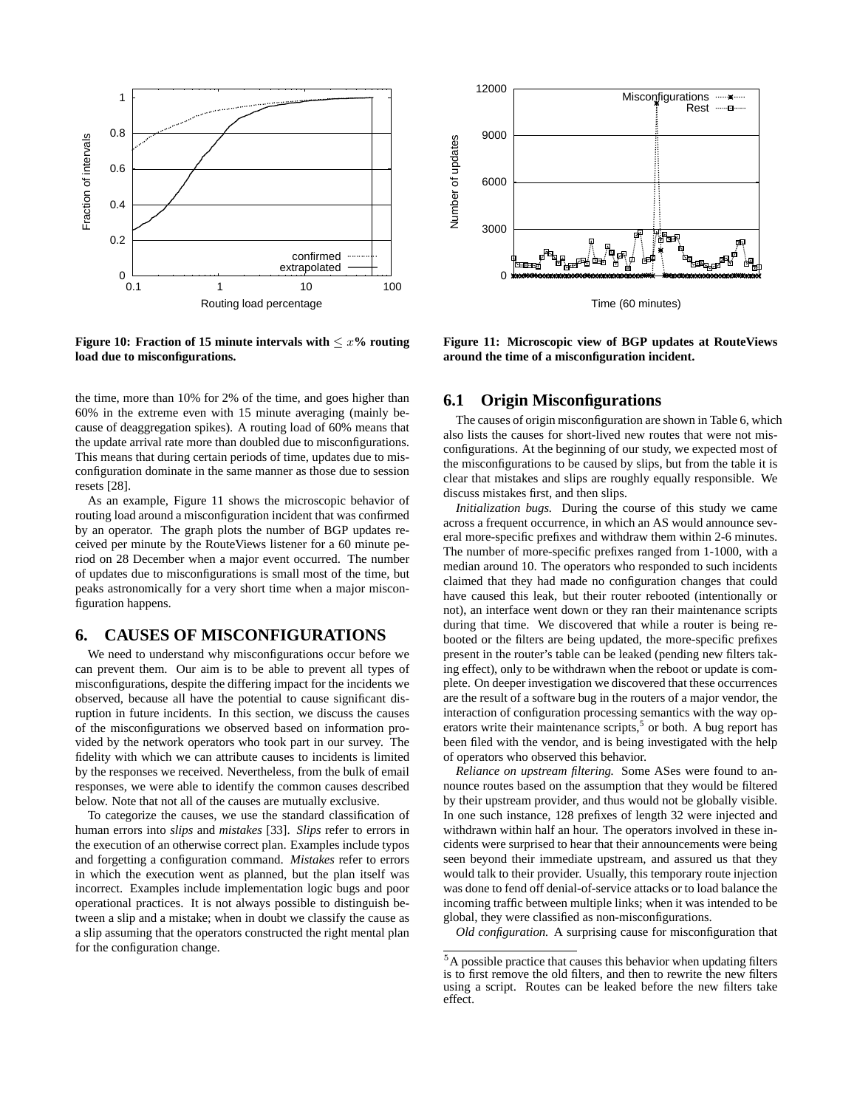![](_page_7_Figure_0.jpeg)

**Figure** 10: **Fraction** of 15 minute intervals with  $\leq x\%$  routing **load due to misconfigurations.**

the time, more than 10% for 2% of the time, and goes higher than 60% in the extreme even with 15 minute averaging (mainly because of deaggregation spikes). A routing load of 60% means that the update arrival rate more than doubled due to misconfigurations. This means that during certain periods of time, updates due to misconfiguration dominate in the same manner as those due to session resets [28].

As an example, Figure 11 shows the microscopic behavior of routing load around a misconfiguration incident that was confirmed by an operator. The graph plots the number of BGP updates received per minute by the RouteViews listener for a 60 minute period on 28 December when a major event occurred. The number of updates due to misconfigurations is small most of the time, but peaks astronomically for a very short time when a major misconfiguration happens.

# **6. CAUSES OF MISCONFIGURATIONS**

We need to understand why misconfigurations occur before we can prevent them. Our aim is to be able to prevent all types of misconfigurations, despite the differing impact for the incidents we observed, because all have the potential to cause significant disruption in future incidents. In this section, we discuss the causes of the misconfigurations we observed based on information provided by the network operators who took part in our survey. The fidelity with which we can attribute causes to incidents is limited by the responses we received. Nevertheless, from the bulk of email responses, we were able to identify the common causes described below. Note that not all of the causes are mutually exclusive.

To categorize the causes, we use the standard classification of human errors into *slips* and *mistakes* [33]. *Slips* refer to errors in the execution of an otherwise correct plan. Examples include typos and forgetting a configuration command. *Mistakes* refer to errors in which the execution went as planned, but the plan itself was incorrect. Examples include implementation logic bugs and poor operational practices. It is not always possible to distinguish between a slip and a mistake; when in doubt we classify the cause as a slip assuming that the operators constructed the right mental plan for the configuration change.

![](_page_7_Figure_7.jpeg)

**Figure 11: Microscopic view of BGP updates at RouteViews**

# **6.1 Origin Misconfigurations**

**around the time of a misconfiguration incident.**

The causes of origin misconfiguration are shown in Table 6, which also lists the causes for short-lived new routes that were not misconfigurations. At the beginning of our study, we expected most of the misconfigurations to be caused by slips, but from the table it is clear that mistakes and slips are roughly equally responsible. We discuss mistakes first, and then slips.

*Initialization bugs.* During the course of this study we came across a frequent occurrence, in which an AS would announce several more-specific prefixes and withdraw them within 2-6 minutes. The number of more-specific prefixes ranged from 1-1000, with a median around 10. The operators who responded to such incidents claimed that they had made no configuration changes that could have caused this leak, but their router rebooted (intentionally or not), an interface went down or they ran their maintenance scripts during that time. We discovered that while a router is being rebooted or the filters are being updated, the more-specific prefixes present in the router's table can be leaked (pending new filters taking effect), only to be withdrawn when the reboot or update is complete. On deeper investigation we discovered that these occurrences are the result of a software bug in the routers of a major vendor, the interaction of configuration processing semantics with the way operators write their maintenance scripts,<sup>5</sup> or both. A bug report has been filed with the vendor, and is being investigated with the help of operators who observed this behavior.

*Reliance on upstream filtering.* Some ASes were found to announce routes based on the assumption that they would be filtered by their upstream provider, and thus would not be globally visible. In one such instance, 128 prefixes of length 32 were injected and withdrawn within half an hour. The operators involved in these incidents were surprised to hear that their announcements were being seen beyond their immediate upstream, and assured us that they would talk to their provider. Usually, this temporary route injection was done to fend off denial-of-service attacks or to load balance the incoming traffic between multiple links; when it was intended to be global, they were classified as non-misconfigurations.

*Old configuration.* A surprising cause for misconfiguration that

<sup>&</sup>lt;sup>5</sup>A possible practice that causes this behavior when updating filters is to first remove the old filters, and then to rewrite the new filters using a script. Routes can be leaked before the new filters take effect.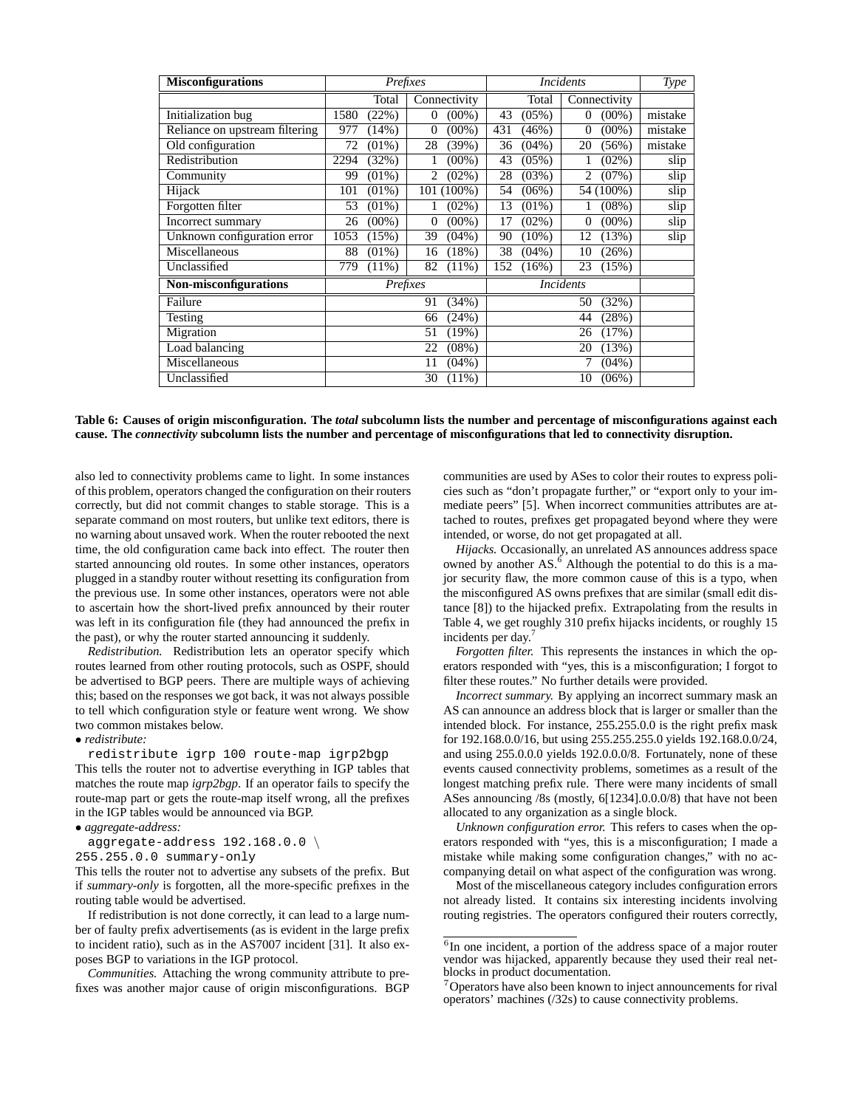| <b>Misconfigurations</b>       | Prefixes<br><i>Incidents</i> |                            | <b>Type</b>    |                          |         |
|--------------------------------|------------------------------|----------------------------|----------------|--------------------------|---------|
|                                | Total                        | Connectivity               | Total          | Connectivity             |         |
| Initialization bug             | (22%)<br>1580                | $\overline{0}$<br>$(00\%)$ | $(05\%)$<br>43 | $(00\%)$<br>$\mathbf{0}$ | mistake |
| Reliance on upstream filtering | 977<br>(14%)                 | $(00\%)$<br>$\overline{0}$ | 431<br>(46%)   | 0<br>$(00\%)$            | mistake |
| Old configuration              | 72<br>$(01\%)$               | (39%)<br>28                | $(04\%)$<br>36 | (56%)<br>20              | mistake |
| Redistribution                 | (32%)<br>2294                | $(00\%)$<br>1              | 43<br>(05%)    | $(02\%)$<br>1            | slip    |
| Community                      | $(01\%)$<br>99               | 2<br>$(02\%)$              | 28<br>(03%)    | 2<br>$(07\%)$            | slip    |
| Hijack                         | $(01\%)$<br>101              | 101 (100%)                 | 54<br>$(06\%)$ | 54 (100%)                | slip    |
| Forgotten filter               | $(01\%)$<br>53               | $(02\%)$                   | 13<br>$(01\%)$ | $(08\%)$                 | slip    |
| Incorrect summary              | $(00\%)$<br>26               | $(00\%)$<br>$\overline{0}$ | $(02\%)$<br>17 | $\Omega$<br>$(00\%)$     | slip    |
| Unknown configuration error    | 1053<br>(15%)                | 39<br>$(04\%)$             | $(10\%)$<br>90 | 12<br>(13%)              | slip    |
| Miscellaneous                  | 88<br>$(01\%)$               | 16<br>(18%)                | 38<br>$(04\%)$ | 10<br>(26%)              |         |
| Unclassified                   | 779<br>(11%)                 | 82<br>(11%)                | 152<br>(16%)   | 23<br>(15%)              |         |
| Non-misconfigurations          | Prefixes<br><i>Incidents</i> |                            |                |                          |         |
| Failure                        |                              | (34%)<br>91                |                | (32%)<br>50              |         |
| Testing                        |                              | (24%)<br>66                |                | (28%)<br>44              |         |
| Migration                      |                              | 51<br>(19%)                |                | 26<br>(17%)              |         |
| Load balancing                 |                              | $(08\%)$<br>22             |                | (13%)<br>20              |         |
| Miscellaneous                  |                              | $(04\%)$<br>11             |                | 7<br>$(04\%)$            |         |
| Unclassified                   |                              | 30<br>$(11\%)$             |                | 10<br>$(06\%)$           |         |

#### Table 6: Causes of origin misconfiguration. The total subcolumn lists the number and percentage of misconfigurations against each cause. The *connectivity* subcolumn lists the number and percentage of misconfigurations that led to connectivity disruption.

also led to connectivity problems came to light. In some instances of this problem, operators changed the configuration on their routers correctly, but did not commit changes to stable storage. This is a separate command on most routers, but unlike text editors, there is no warning about unsaved work. When the router rebooted the next time, the old configuration came back into effect. The router then started announcing old routes. In some other instances, operators plugged in a standby router without resetting its configuration from the previous use. In some other instances, operators were not able to ascertain how the short-lived prefix announced by their router was left in its configuration file (they had announced the prefix in the past), or why the router started announcing it suddenly.

*Redistribution.* Redistribution lets an operator specify which routes learned from other routing protocols, such as OSPF, should be advertised to BGP peers. There are multiple ways of achieving this; based on the responses we got back, it was not always possible to tell which configuration style or feature went wrong. We show two common mistakes below.

## • *redistribute:*

redistribute igrp 100 route-map igrp2bgp This tells the router not to advertise everything in IGP tables that matches the route map *igrp2bgp*. If an operator fails to specify the route-map part or gets the route-map itself wrong, all the prefixes in the IGP tables would be announced via BGP.

• *aggregate-address:*

aggregate-address 192.168.0.0 \

255.255.0.0 summary-only

This tells the router not to advertise any subsets of the prefix. But if *summary-only* is forgotten, all the more-specific prefixes in the routing table would be advertised.

If redistribution is not done correctly, it can lead to a large number of faulty prefix advertisements (as is evident in the large prefix to incident ratio), such as in the AS7007 incident [31]. It also exposes BGP to variations in the IGP protocol.

*Communities.* Attaching the wrong community attribute to prefixes was another major cause of origin misconfigurations. BGP communities are used by ASes to color their routes to express policies such as "don't propagate further," or "export only to your immediate peers" [5]. When incorrect communities attributes are attached to routes, prefixes get propagated beyond where they were intended, or worse, do not get propagated at all.

*Hijacks.* Occasionally, an unrelated AS announces address space owned by another  $AS^6$ . Although the potential to do this is a major security flaw, the more common cause of this is a typo, when the misconfigured AS owns prefixes that are similar (small edit distance [8]) to the hijacked prefix. Extrapolating from the results in Table 4, we get roughly 310 prefix hijacks incidents, or roughly 15 incidents per day. 7

*Forgotten filter.* This represents the instances in which the operators responded with "yes, this is a misconfiguration; I forgot to filter these routes." No further details were provided.

*Incorrect summary.* By applying an incorrect summary mask an AS can announce an address block that is larger or smaller than the intended block. For instance, 255.255.0.0 is the right prefix mask for 192.168.0.0/16, but using 255.255.255.0 yields 192.168.0.0/24, and using 255.0.0.0 yields 192.0.0.0/8. Fortunately, none of these events caused connectivity problems, sometimes as a result of the longest matching prefix rule. There were many incidents of small ASes announcing /8s (mostly, 6[1234].0.0.0/8) that have not been allocated to any organization as a single block.

*Unknown configuration error.* This refers to cases when the operators responded with "yes, this is a misconfiguration; I made a mistake while making some configuration changes," with no accompanying detail on what aspect of the configuration was wrong.

Most of the miscellaneous category includes configuration errors not already listed. It contains six interesting incidents involving routing registries. The operators configured their routers correctly,

 ${}^{6}$ In one incident, a portion of the address space of a major router vendor was hijacked, apparently because they used their real netblocks in product documentation.

 $7$ Operators have also been known to inject announcements for rival operators' machines (/32s) to cause connectivity problems.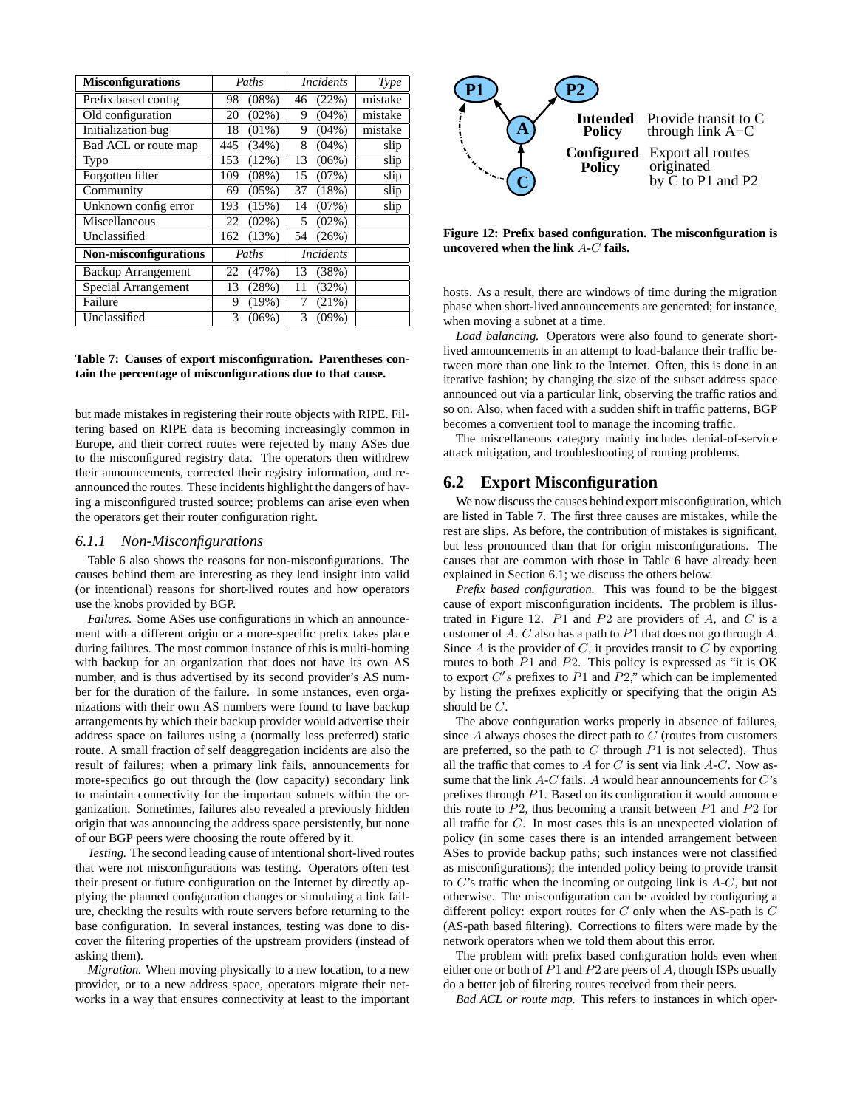| <b>Misconfigurations</b>    | Paths           | <b>Incidents</b> | Type    |
|-----------------------------|-----------------|------------------|---------|
| Prefix based config         | $(08\%)$<br>98  | 46<br>(22%)      | mistake |
| Old configuration           | $(02\%)$<br>20  | $(04\%)$<br>9    | mistake |
| Initialization bug          | $(01\%)$<br>18  | $(04\%)$<br>9    | mistake |
| <b>Bad ACL</b> or route map | (34%)<br>445    | $(04\%)$<br>8    | slip    |
| <b>Typo</b>                 | 153<br>(12%)    | $(06\%)$<br>13   | slip    |
| Forgotten filter            | $(08\%)$<br>109 | (07%)<br>15      | slip    |
| Community                   | (05%)<br>69     | 37<br>(18%)      | slip    |
| Unknown config error        | (15%)<br>193    | (07%)<br>14      | slip    |
| Miscellaneous               | 22<br>$(02\%)$  | $(02\%)$<br>5    |         |
| Unclassified                | (13%)<br>162    | 54<br>(26%)      |         |
| Non-misconfigurations       | Paths           | <i>Incidents</i> |         |
| <b>Backup Arrangement</b>   | (47%)<br>22     | (38%)<br>13      |         |
| Special Arrangement         | (28%)<br>13     | (32%)<br>11      |         |
| Failure                     | (19%)<br>9      | (21%)<br>7       |         |
| Unclassified                | 3<br>$(06\%)$   | 3<br>$(09\%)$    |         |

**Table 7: Causes of export misconfiguration. Parentheses contain the percentage of misconfigurations due to that cause.**

but made mistakes in registering their route objects with RIPE. Filtering based on RIPE data is becoming increasingly common in Europe, and their correct routes were rejected by many ASes due to the misconfigured registry data. The operators then withdrew their announcements, corrected their registry information, and reannounced the routes. These incidents highlight the dangers of having a misconfigured trusted source; problems can arise even when the operators get their router configuration right.

#### *6.1.1 Non-Misconfigurations*

Table 6 also shows the reasons for non-misconfigurations. The causes behind them are interesting as they lend insight into valid (or intentional) reasons for short-lived routes and how operators use the knobs provided by BGP.

*Failures.* Some ASes use configurations in which an announcement with a different origin or a more-specific prefix takes place during failures. The most common instance of this is multi-homing with backup for an organization that does not have its own AS number, and is thus advertised by its second provider's AS number for the duration of the failure. In some instances, even organizations with their own AS numbers were found to have backup arrangements by which their backup provider would advertise their address space on failures using a (normally less preferred) static route. A small fraction of self deaggregation incidents are also the result of failures; when a primary link fails, announcements for more-specifics go out through the (low capacity) secondary link to maintain connectivity for the important subnets within the organization. Sometimes, failures also revealed a previously hidden origin that was announcing the address space persistently, but none of our BGP peers were choosing the route offered by it.

Testing. The second leading cause of intentional short-lived routes that were not misconfigurations was testing. Operators often test their present or future configuration on the Internet by directly applying the planned configuration changes or simulating a link failure, checking the results with route servers before returning to the base configuration. In several instances, testing was done to discover the filtering properties of the upstream providers (instead of asking them).

*Migration.* When moving physically to a new location, to a new provider, or to a new address space, operators migrate their networks in a way that ensures connectivity at least to the important

![](_page_9_Figure_8.jpeg)

**Figure 12: Prefix based configuration. The misconfiguration is uncovered when the link** A**-**C **fails.**

hosts. As a result, there are windows of time during the migration phase when short-lived announcements are generated; for instance, when moving a subnet at a time.

*Load balancing.* Operators were also found to generate shortlived announcements in an attempt to load-balance their traffic between more than one link to the Internet. Often, this is done in an iterative fashion; by changing the size of the subset address space announced out via a particular link, observing the traffic ratios and so on. Also, when faced with a sudden shift in traffic patterns, BGP becomes a convenient tool to manage the incoming traffic.

The miscellaneous category mainly includes denial-of-service attack mitigation, and troubleshooting of routing problems.

## **6.2 Export Misconfiguration**

We now discuss the causes behind export misconfiguration, which are listed in Table 7. The first three causes are mistakes, while the rest are slips. As before, the contribution of mistakes is significant, but less pronounced than that for origin misconfigurations. The causes that are common with those in Table 6 have already been explained in Section 6.1; we discuss the others below.

*Prefix based configuration.* This was found to be the biggest cause of export misconfiguration incidents. The problem is illustrated in Figure 12.  $P1$  and  $P2$  are providers of A, and C is a customer of A. C also has a path to  $P1$  that does not go through A. Since  $A$  is the provider of  $C$ , it provides transit to  $C$  by exporting routes to both P1 and P2. This policy is expressed as "it is OK to export  $C's$  prefixes to  $P1$  and  $P2$ ," which can be implemented by listing the prefixes explicitly or specifying that the origin AS should be  $C$ .

The above configuration works properly in absence of failures, since  $A$  always choses the direct path to  $C$  (routes from customers) are preferred, so the path to  $C$  through  $P1$  is not selected). Thus all the traffic that comes to A for C is sent via link  $A-C$ . Now assume that the link  $A-C$  fails. A would hear announcements for  $C$ 's prefixes through P1. Based on its configuration it would announce this route to  $P2$ , thus becoming a transit between  $P1$  and  $P2$  for all traffic for C. In most cases this is an unexpected violation of policy (in some cases there is an intended arrangement between ASes to provide backup paths; such instances were not classified as misconfigurations); the intended policy being to provide transit to  $C$ 's traffic when the incoming or outgoing link is  $A-C$ , but not otherwise. The misconfiguration can be avoided by configuring a different policy: export routes for  $C$  only when the AS-path is  $C$ (AS-path based filtering). Corrections to filters were made by the network operators when we told them about this error.

The problem with prefix based configuration holds even when either one or both of  $P1$  and  $P2$  are peers of A, though ISPs usually do a better job of filtering routes received from their peers.

*Bad ACL or route map.* This refers to instances in which oper-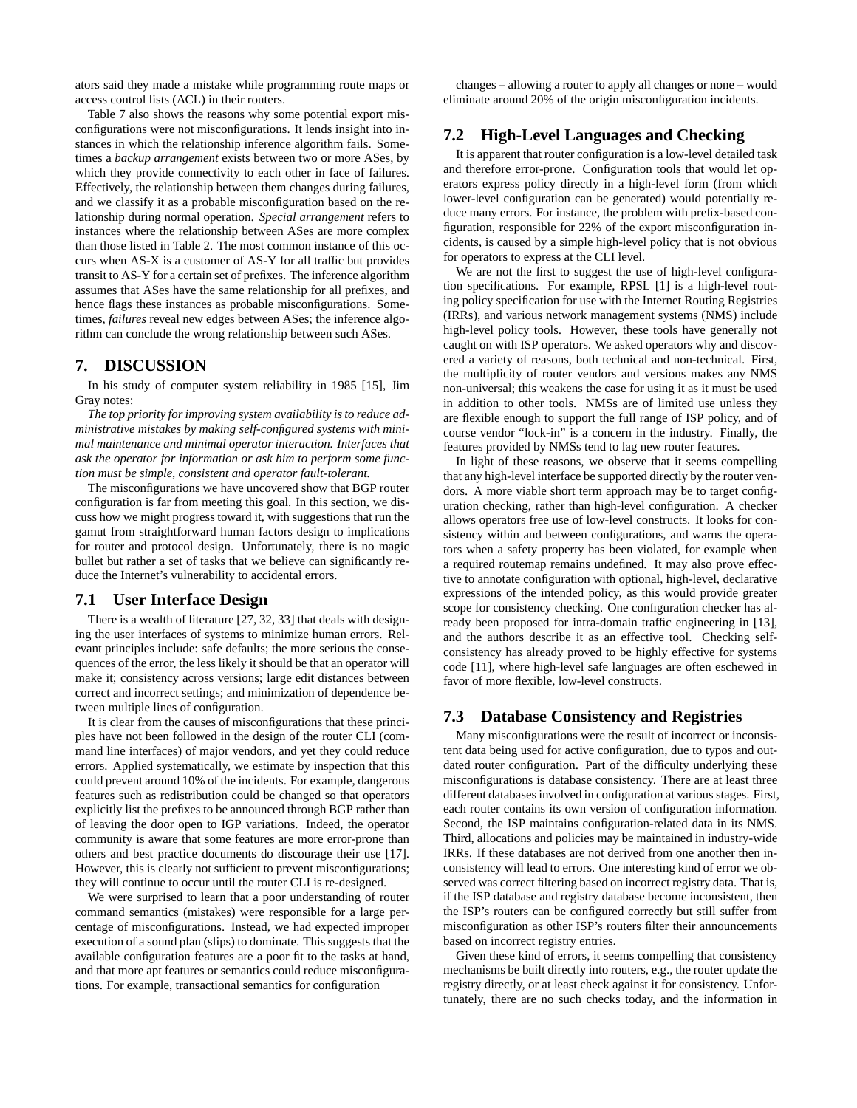ators said they made a mistake while programming route maps or access control lists (ACL) in their routers.

Table 7 also shows the reasons why some potential export misconfigurations were not misconfigurations. It lends insight into instances in which the relationship inference algorithm fails. Sometimes a *backup arrangement* exists between two or more ASes, by which they provide connectivity to each other in face of failures. Effectively, the relationship between them changes during failures, and we classify it as a probable misconfiguration based on the relationship during normal operation. *Special arrangement* refers to instances where the relationship between ASes are more complex than those listed in Table 2. The most common instance of this occurs when AS-X is a customer of AS-Y for all traffic but provides transit to AS-Y for a certain set of prefixes. The inference algorithm assumes that ASes have the same relationship for all prefixes, and hence flags these instances as probable misconfigurations. Sometimes, *failures* reveal new edges between ASes; the inference algorithm can conclude the wrong relationship between such ASes.

## **7. DISCUSSION**

In his study of computer system reliability in 1985 [15], Jim Gray notes:

*The top priority forimproving system availability isto reduce administrative mistakes by making self-configured systems with minimal maintenance and minimal operator interaction. Interfaces that ask the operator for information or ask him to perform some function must be simple, consistent and operator fault-tolerant.*

The misconfigurations we have uncovered show that BGP router configuration is far from meeting this goal. In this section, we discuss how we might progress toward it, with suggestions that run the gamut from straightforward human factors design to implications for router and protocol design. Unfortunately, there is no magic bullet but rather a set of tasks that we believe can significantly reduce the Internet's vulnerability to accidental errors.

# **7.1 User Interface Design**

There is a wealth of literature [27, 32, 33] that deals with designing the user interfaces of systems to minimize human errors. Relevant principles include: safe defaults; the more serious the consequences of the error, the less likely it should be that an operator will make it; consistency across versions; large edit distances between correct and incorrect settings; and minimization of dependence between multiple lines of configuration.

It is clear from the causes of misconfigurations that these principles have not been followed in the design of the router CLI (command line interfaces) of major vendors, and yet they could reduce errors. Applied systematically, we estimate by inspection that this could prevent around 10% of the incidents. For example, dangerous features such as redistribution could be changed so that operators explicitly list the prefixes to be announced through BGP rather than of leaving the door open to IGP variations. Indeed, the operator community is aware that some features are more error-prone than others and best practice documents do discourage their use [17]. However, this is clearly not sufficient to prevent misconfigurations; they will continue to occur until the router CLI is re-designed.

We were surprised to learn that a poor understanding of router command semantics (mistakes) were responsible for a large percentage of misconfigurations. Instead, we had expected improper execution of a sound plan (slips) to dominate. This suggests that the available configuration features are a poor fit to the tasks at hand, and that more apt features or semantics could reduce misconfigurations. For example, transactional semantics for configuration

changes – allowing a router to apply all changes or none – would eliminate around 20% of the origin misconfiguration incidents.

# **7.2 High-Level Languages and Checking**

It is apparent that router configuration is a low-level detailed task and therefore error-prone. Configuration tools that would let operators express policy directly in a high-level form (from which lower-level configuration can be generated) would potentially reduce many errors. For instance, the problem with prefix-based configuration, responsible for 22% of the export misconfiguration incidents, is caused by a simple high-level policy that is not obvious for operators to express at the CLI level.

We are not the first to suggest the use of high-level configuration specifications. For example, RPSL [1] is a high-level routing policy specification for use with the Internet Routing Registries (IRRs), and various network management systems (NMS) include high-level policy tools. However, these tools have generally not caught on with ISP operators. We asked operators why and discovered a variety of reasons, both technical and non-technical. First, the multiplicity of router vendors and versions makes any NMS non-universal; this weakens the case for using it as it must be used in addition to other tools. NMSs are of limited use unless they are flexible enough to support the full range of ISP policy, and of course vendor "lock-in" is a concern in the industry. Finally, the features provided by NMSs tend to lag new router features.

In light of these reasons, we observe that it seems compelling that any high-level interface be supported directly by the router vendors. A more viable short term approach may be to target configuration checking, rather than high-level configuration. A checker allows operators free use of low-level constructs. It looks for consistency within and between configurations, and warns the operators when a safety property has been violated, for example when a required routemap remains undefined. It may also prove effective to annotate configuration with optional, high-level, declarative expressions of the intended policy, as this would provide greater scope for consistency checking. One configuration checker has already been proposed for intra-domain traffic engineering in [13], and the authors describe it as an effective tool. Checking selfconsistency has already proved to be highly effective for systems code [11], where high-level safe languages are often eschewed in favor of more flexible, low-level constructs.

## **7.3 Database Consistency and Registries**

Many misconfigurations were the result of incorrect or inconsistent data being used for active configuration, due to typos and outdated router configuration. Part of the difficulty underlying these misconfigurations is database consistency. There are at least three different databases involved in configuration at various stages. First, each router contains its own version of configuration information. Second, the ISP maintains configuration-related data in its NMS. Third, allocations and policies may be maintained in industry-wide IRRs. If these databases are not derived from one another then inconsistency will lead to errors. One interesting kind of error we observed was correct filtering based on incorrect registry data. That is, if the ISP database and registry database become inconsistent, then the ISP's routers can be configured correctly but still suffer from misconfiguration as other ISP's routers filter their announcements based on incorrect registry entries.

Given these kind of errors, it seems compelling that consistency mechanisms be built directly into routers, e.g., the router update the registry directly, or at least check against it for consistency. Unfortunately, there are no such checks today, and the information in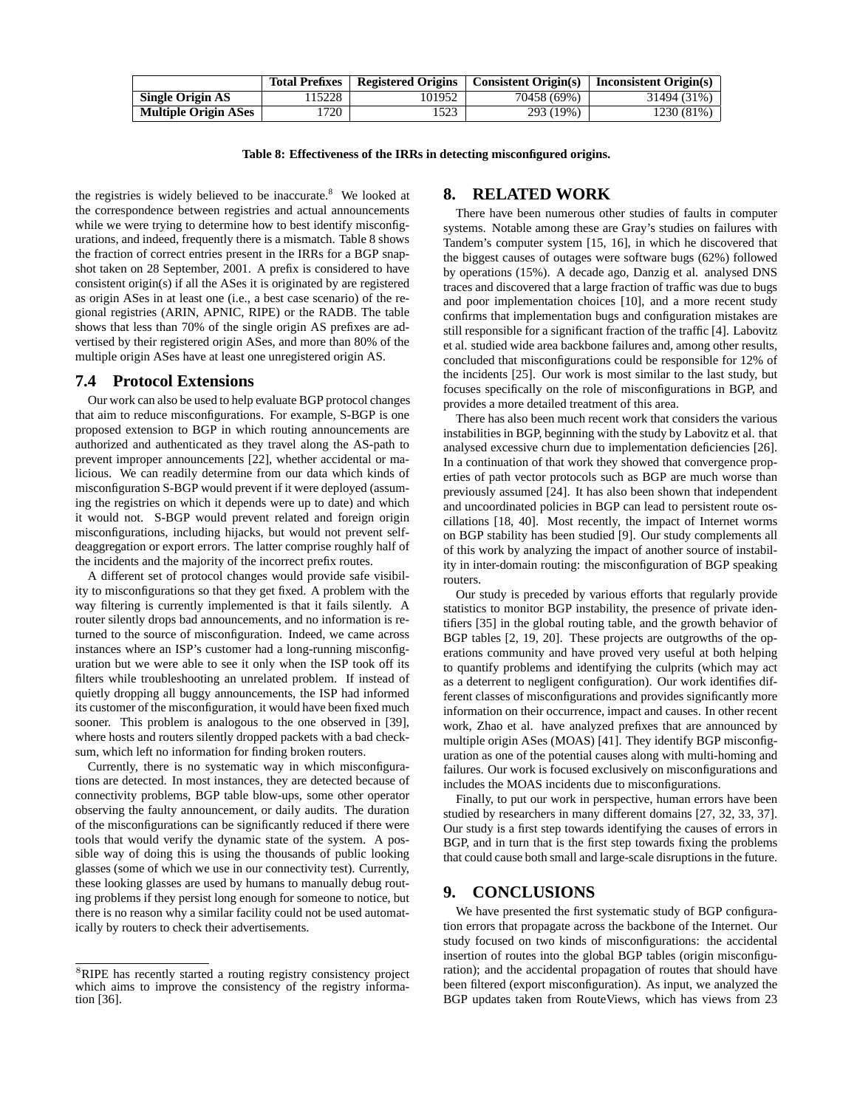|                             | <b>Total Prefixes</b> | <b>Registered Origins</b> | <b>Consistent Origin(s)</b> | Inconsistent Origin(s) |
|-----------------------------|-----------------------|---------------------------|-----------------------------|------------------------|
| Single Origin AS            | 15228                 | 101952                    | 70458 (69%)                 | 31494 (31%)            |
| <b>Multiple Origin ASes</b> | '720                  | 523                       | 293 (19%)                   | 1230 (81%)             |

**Table 8: Effectiveness of the IRRs in detecting misconfigured origins.**

the registries is widely believed to be inaccurate.<sup>8</sup> We looked at the correspondence between registries and actual announcements while we were trying to determine how to best identify misconfigurations, and indeed, frequently there is a mismatch. Table 8 shows the fraction of correct entries present in the IRRs for a BGP snapshot taken on 28 September, 2001. A prefix is considered to have consistent origin(s) if all the ASes it is originated by are registered as origin ASes in at least one (i.e., a best case scenario) of the regional registries (ARIN, APNIC, RIPE) or the RADB. The table shows that less than 70% of the single origin AS prefixes are advertised by their registered origin ASes, and more than 80% of the multiple origin ASes have at least one unregistered origin AS.

# **7.4 Protocol Extensions**

Our work can also be used to help evaluate BGP protocol changes that aim to reduce misconfigurations. For example, S-BGP is one proposed extension to BGP in which routing announcements are authorized and authenticated as they travel along the AS-path to prevent improper announcements [22], whether accidental or malicious. We can readily determine from our data which kinds of misconfiguration S-BGP would prevent if it were deployed (assuming the registries on which it depends were up to date) and which it would not. S-BGP would prevent related and foreign origin misconfigurations, including hijacks, but would not prevent selfdeaggregation or export errors. The latter comprise roughly half of the incidents and the majority of the incorrect prefix routes.

A different set of protocol changes would provide safe visibility to misconfigurations so that they get fixed. A problem with the way filtering is currently implemented is that it fails silently. A router silently drops bad announcements, and no information is returned to the source of misconfiguration. Indeed, we came across instances where an ISP's customer had a long-running misconfiguration but we were able to see it only when the ISP took off its filters while troubleshooting an unrelated problem. If instead of quietly dropping all buggy announcements, the ISP had informed its customer of the misconfiguration, it would have been fixed much sooner. This problem is analogous to the one observed in [39], where hosts and routers silently dropped packets with a bad checksum, which left no information for finding broken routers.

Currently, there is no systematic way in which misconfigurations are detected. In most instances, they are detected because of connectivity problems, BGP table blow-ups, some other operator observing the faulty announcement, or daily audits. The duration of the misconfigurations can be significantly reduced if there were tools that would verify the dynamic state of the system. A possible way of doing this is using the thousands of public looking glasses (some of which we use in our connectivity test). Currently, these looking glasses are used by humans to manually debug routing problems if they persist long enough for someone to notice, but there is no reason why a similar facility could not be used automatically by routers to check their advertisements.

# **8. RELATED WORK**

There have been numerous other studies of faults in computer systems. Notable among these are Gray's studies on failures with Tandem's computer system [15, 16], in which he discovered that the biggest causes of outages were software bugs (62%) followed by operations (15%). A decade ago, Danzig et al. analysed DNS traces and discovered that a large fraction of traffic was due to bugs and poor implementation choices [10], and a more recent study confirms that implementation bugs and configuration mistakes are still responsible for a significant fraction of the traffic [4]. Labovitz et al. studied wide area backbone failures and, among other results, concluded that misconfigurations could be responsible for 12% of the incidents [25]. Our work is most similar to the last study, but focuses specifically on the role of misconfigurations in BGP, and provides a more detailed treatment of this area.

There has also been much recent work that considers the various instabilities in BGP, beginning with the study by Labovitz et al. that analysed excessive churn due to implementation deficiencies [26]. In a continuation of that work they showed that convergence properties of path vector protocols such as BGP are much worse than previously assumed [24]. It has also been shown that independent and uncoordinated policies in BGP can lead to persistent route oscillations [18, 40]. Most recently, the impact of Internet worms on BGP stability has been studied [9]. Our study complements all of this work by analyzing the impact of another source of instability in inter-domain routing: the misconfiguration of BGP speaking routers.

Our study is preceded by various efforts that regularly provide statistics to monitor BGP instability, the presence of private identifiers [35] in the global routing table, and the growth behavior of BGP tables [2, 19, 20]. These projects are outgrowths of the operations community and have proved very useful at both helping to quantify problems and identifying the culprits (which may act as a deterrent to negligent configuration). Our work identifies different classes of misconfigurations and provides significantly more information on their occurrence, impact and causes. In other recent work, Zhao et al. have analyzed prefixes that are announced by multiple origin ASes (MOAS) [41]. They identify BGP misconfiguration as one of the potential causes along with multi-homing and failures. Our work is focused exclusively on misconfigurations and includes the MOAS incidents due to misconfigurations.

Finally, to put our work in perspective, human errors have been studied by researchers in many different domains [27, 32, 33, 37]. Our study is a first step towards identifying the causes of errors in BGP, and in turn that is the first step towards fixing the problems that could cause both small and large-scale disruptions in the future.

# **9. CONCLUSIONS**

We have presented the first systematic study of BGP configuration errors that propagate across the backbone of the Internet. Our study focused on two kinds of misconfigurations: the accidental insertion of routes into the global BGP tables (origin misconfiguration); and the accidental propagation of routes that should have been filtered (export misconfiguration). As input, we analyzed the BGP updates taken from RouteViews, which has views from 23

<sup>8</sup>RIPE has recently started a routing registry consistency project which aims to improve the consistency of the registry information [36].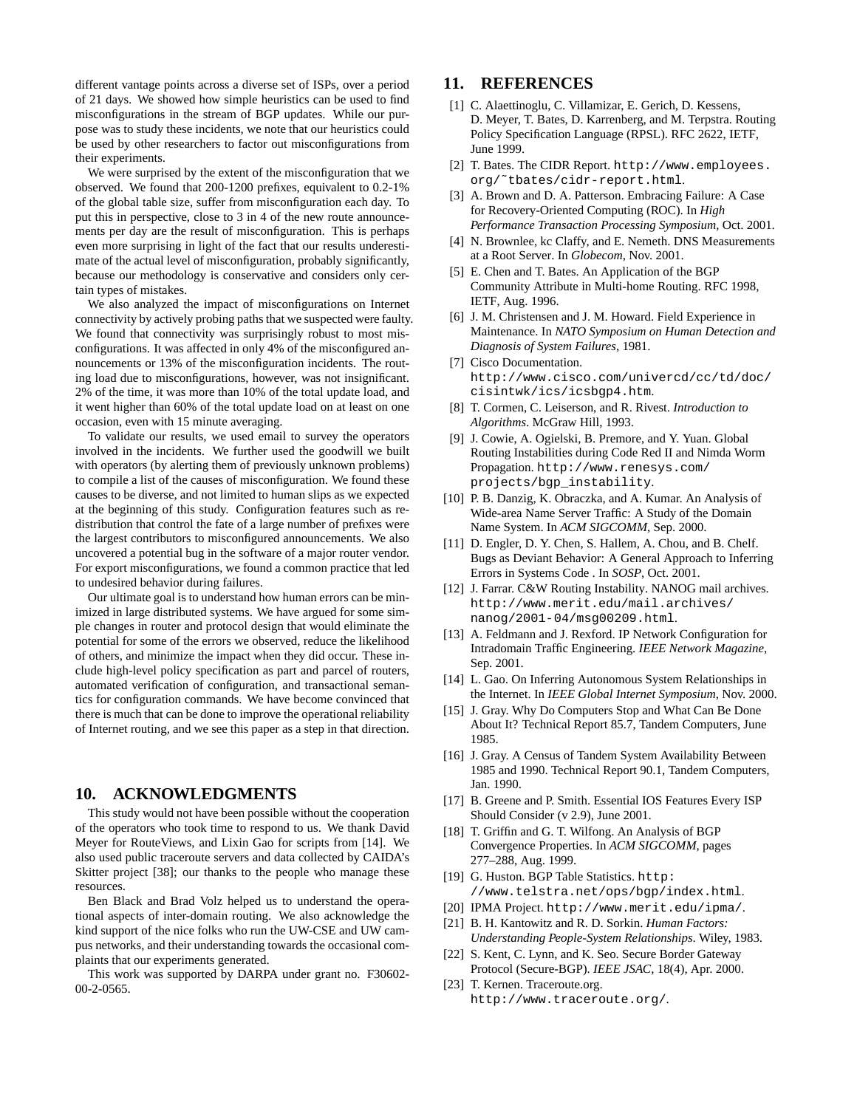different vantage points across a diverse set of ISPs, over a period of 21 days. We showed how simple heuristics can be used to find misconfigurations in the stream of BGP updates. While our purpose was to study these incidents, we note that our heuristics could be used by other researchers to factor out misconfigurations from their experiments.

We were surprised by the extent of the misconfiguration that we observed. We found that 200-1200 prefixes, equivalent to 0.2-1% of the global table size, suffer from misconfiguration each day. To put this in perspective, close to 3 in 4 of the new route announcements per day are the result of misconfiguration. This is perhaps even more surprising in light of the fact that our results underestimate of the actual level of misconfiguration, probably significantly, because our methodology is conservative and considers only certain types of mistakes.

We also analyzed the impact of misconfigurations on Internet connectivity by actively probing paths that we suspected were faulty. We found that connectivity was surprisingly robust to most misconfigurations. It was affected in only 4% of the misconfigured announcements or 13% of the misconfiguration incidents. The routing load due to misconfigurations, however, was not insignificant. 2% of the time, it was more than 10% of the total update load, and it went higher than 60% of the total update load on at least on one occasion, even with 15 minute averaging.

To validate our results, we used email to survey the operators involved in the incidents. We further used the goodwill we built with operators (by alerting them of previously unknown problems) to compile a list of the causes of misconfiguration. We found these causes to be diverse, and not limited to human slips as we expected at the beginning of this study. Configuration features such as redistribution that control the fate of a large number of prefixes were the largest contributors to misconfigured announcements. We also uncovered a potential bug in the software of a major router vendor. For export misconfigurations, we found a common practice that led to undesired behavior during failures.

Our ultimate goal is to understand how human errors can be minimized in large distributed systems. We have argued for some simple changes in router and protocol design that would eliminate the potential for some of the errors we observed, reduce the likelihood of others, and minimize the impact when they did occur. These include high-level policy specification as part and parcel of routers, automated verification of configuration, and transactional semantics for configuration commands. We have become convinced that there is much that can be done to improve the operational reliability of Internet routing, and we see this paper as a step in that direction.

# **10. ACKNOWLEDGMENTS**

This study would not have been possible without the cooperation of the operators who took time to respond to us. We thank David Meyer for RouteViews, and Lixin Gao for scripts from [14]. We also used public traceroute servers and data collected by CAIDA's Skitter project [38]; our thanks to the people who manage these resources.

Ben Black and Brad Volz helped us to understand the operational aspects of inter-domain routing. We also acknowledge the kind support of the nice folks who run the UW-CSE and UW campus networks, and their understanding towards the occasional complaints that our experiments generated.

This work was supported by DARPA under grant no. F30602- 00-2-0565.

# **11. REFERENCES**

- [1] C. Alaettinoglu, C. Villamizar, E. Gerich, D. Kessens, D. Meyer, T. Bates, D. Karrenberg, and M. Terpstra. Routing Policy Specification Language (RPSL). RFC 2622, IETF, June 1999.
- [2] T. Bates. The CIDR Report. http://www.employees. org/˜tbates/cidr-report.html.
- [3] A. Brown and D. A. Patterson. Embracing Failure: A Case for Recovery-Oriented Computing (ROC). In *High Performance Transaction Processing Symposium*, Oct. 2001.
- [4] N. Brownlee, kc Claffy, and E. Nemeth. DNS Measurements at a Root Server. In *Globecom*, Nov. 2001.
- [5] E. Chen and T. Bates. An Application of the BGP Community Attribute in Multi-home Routing. RFC 1998, IETF, Aug. 1996.
- [6] J. M. Christensen and J. M. Howard. Field Experience in Maintenance. In *NATO Symposium on Human Detection and Diagnosis of System Failures*, 1981.
- [7] Cisco Documentation. http://www.cisco.com/univercd/cc/td/doc/ cisintwk/ics/icsbgp4.htm.
- [8] T. Cormen, C. Leiserson, and R. Rivest. *Introduction to Algorithms*. McGraw Hill, 1993.
- [9] J. Cowie, A. Ogielski, B. Premore, and Y. Yuan. Global Routing Instabilities during Code Red II and Nimda Worm Propagation. http://www.renesys.com/ projects/bgp\_instability.
- [10] P. B. Danzig, K. Obraczka, and A. Kumar. An Analysis of Wide-area Name Server Traffic: A Study of the Domain Name System. In *ACM SIGCOMM*, Sep. 2000.
- [11] D. Engler, D. Y. Chen, S. Hallem, A. Chou, and B. Chelf. Bugs as Deviant Behavior: A General Approach to Inferring Errors in Systems Code . In *SOSP*, Oct. 2001.
- [12] J. Farrar. C&W Routing Instability. NANOG mail archives. http://www.merit.edu/mail.archives/ nanog/2001-04/msg00209.html.
- [13] A. Feldmann and J. Rexford. IP Network Configuration for Intradomain Traffic Engineering. *IEEE Network Magazine*, Sep. 2001.
- [14] L. Gao. On Inferring Autonomous System Relationships in the Internet. In *IEEE Global Internet Symposium*, Nov. 2000.
- [15] J. Gray. Why Do Computers Stop and What Can Be Done About It? Technical Report 85.7, Tandem Computers, June 1985.
- [16] J. Gray. A Census of Tandem System Availability Between 1985 and 1990. Technical Report 90.1, Tandem Computers, Jan. 1990.
- [17] B. Greene and P. Smith. Essential IOS Features Every ISP Should Consider (v 2.9), June 2001.
- [18] T. Griffin and G. T. Wilfong. An Analysis of BGP Convergence Properties. In *ACM SIGCOMM*, pages 277–288, Aug. 1999.
- [19] G. Huston. BGP Table Statistics. http: //www.telstra.net/ops/bgp/index.html.
- [20] IPMA Project. http://www.merit.edu/ipma/.
- [21] B. H. Kantowitz and R. D. Sorkin. *Human Factors: Understanding People-System Relationships*. Wiley, 1983.
- [22] S. Kent, C. Lynn, and K. Seo. Secure Border Gateway Protocol (Secure-BGP). *IEEE JSAC*, 18(4), Apr. 2000.
- [23] T. Kernen. Traceroute.org. http://www.traceroute.org/.